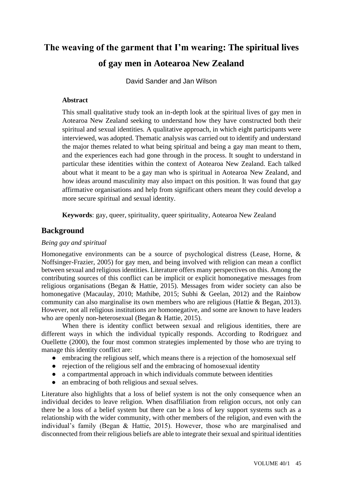# **The weaving of the garment that I'm wearing: The spiritual lives of gay men in Aotearoa New Zealand**

David Sander and Jan Wilson

## **Abstract**

This small qualitative study took an in-depth look at the spiritual lives of gay men in Aotearoa New Zealand seeking to understand how they have constructed both their spiritual and sexual identities. A qualitative approach, in which eight participants were interviewed, was adopted. Thematic analysis was carried out to identify and understand the major themes related to what being spiritual and being a gay man meant to them, and the experiences each had gone through in the process. It sought to understand in particular these identities within the context of Aotearoa New Zealand. Each talked about what it meant to be a gay man who is spiritual in Aotearoa New Zealand, and how ideas around masculinity may also impact on this position. It was found that gay affirmative organisations and help from significant others meant they could develop a more secure spiritual and sexual identity.

**Keywords**: gay, queer, spirituality, queer spirituality, Aotearoa New Zealand

## **Background**

#### *Being gay and spiritual*

Homonegative environments can be a source of psychological distress (Lease, Horne, & Noffsinger-Frazier, 2005) for gay men, and being involved with religion can mean a conflict between sexual and religious identities. Literature offers many perspectives on this. Among the contributing sources of this conflict can be implicit or explicit homonegative messages from religious organisations (Began & Hattie, 2015). Messages from wider society can also be homonegative (Macaulay, 2010; Mathibe, 2015; Subhi & Geelan, 2012) and the Rainbow community can also marginalise its own members who are religious (Hattie & Began, 2013). However, not all religious institutions are homonegative, and some are known to have leaders who are openly non-heterosexual (Began & Hattie, 2015).

When there is identity conflict between sexual and religious identities, there are different ways in which the individual typically responds. According to Rodriguez and Ouellette (2000), the four most common strategies implemented by those who are trying to manage this identity conflict are:

- embracing the religious self, which means there is a rejection of the homosexual self
- rejection of the religious self and the embracing of homosexual identity
- a compartmental approach in which individuals commute between identities
- an embracing of both religious and sexual selves.

Literature also highlights that a loss of belief system is not the only consequence when an individual decides to leave religion. When disaffiliation from religion occurs, not only can there be a loss of a belief system but there can be a loss of key support systems such as a relationship with the wider community, with other members of the religion, and even with the individual's family (Began & Hattie, 2015). However, those who are marginalised and disconnected from their religious beliefs are able to integrate their sexual and spiritual identities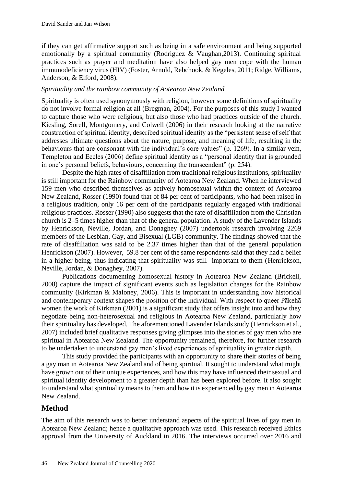if they can get affirmative support such as being in a safe environment and being supported emotionally by a spiritual community (Rodriguez & Vaughan,2013). Continuing spiritual practices such as prayer and meditation have also helped gay men cope with the human immunodeficiency virus (HIV) (Foster, Arnold, Rebchook, & Kegeles, 2011; Ridge, Williams, Anderson, & Elford, 2008).

#### *Spirituality and the rainbow community of Aotearoa New Zealand*

Spirituality is often used synonymously with religion, however some definitions of spirituality do not involve formal religion at all (Bregman, 2004). For the purposes of this study I wanted to capture those who were religious, but also those who had practices outside of the church. Kiesling, Sorell, Montgomery, and Colwell (2006) in their research looking at the narrative construction of spiritual identity, described spiritual identity as the "persistent sense of self that addresses ultimate questions about the nature, purpose, and meaning of life, resulting in the behaviours that are consonant with the individual's core values" (p. 1269). In a similar vein, Templeton and Eccles (2006) define spiritual identity as a "personal identity that is grounded in one's personal beliefs, behaviours, concerning the transcendent" (p. 254).

Despite the high rates of disaffiliation from traditional religious institutions, spirituality is still important for the Rainbow community of Aotearoa New Zealand. When he interviewed 159 men who described themselves as actively homosexual within the context of Aotearoa New Zealand, Rosser (1990) found that of 84 per cent of participants, who had been raised in a religious tradition, only 16 per cent of the participants regularly engaged with traditional religious practices. Rosser (1990) also suggests that the rate of disaffiliation from the Christian church is 2–5 times higher than that of the general population. A study of the Lavender Islands by [Henrickson, N](https://www.ncbi.nlm.nih.gov/pubmed/?term=Henrickson%20M%5BAuthor%5D&cauthor=true&cauthor_uid=18689199)eville, Jordan, and Donaghey (2007) undertook research involving 2269 members of the Lesbian, Gay, and Bisexual (LGB) community. The findings showed that the rate of disaffiliation was said to be 2.37 times higher than that of the general population Henrickson (2007). However, 59.8 per cent of the same respondents said that they had a belief in a higher being, thus indicating that spirituality was still important to them [\(Henrickson,](https://www.ncbi.nlm.nih.gov/pubmed/?term=Henrickson%20M%5BAuthor%5D&cauthor=true&cauthor_uid=18689199)  Neville, Jordan, & Donaghey, 2007).

Publications documenting homosexual history in Aotearoa New Zealand (Brickell, 2008) capture the impact of significant events such as legislation changes for the Rainbow community (Kirkman & Maloney, 2006). This is important in understanding how historical and contemporary context shapes the position of the individual. With respect to queer Pākehā women the work of Kirkman (2001) is a significant study that offers insight into and how they negotiate being non-heterosexual and religious in Aotearoa New Zealand, particularly how their spirituality has developed. The aforementioned Lavender Islands study [\(Henrickson et al.,](https://www.ncbi.nlm.nih.gov/pubmed/?term=Henrickson%20M%5BAuthor%5D&cauthor=true&cauthor_uid=18689199)  2007) included brief qualitative responses giving glimpses into the stories of gay men who are spiritual in Aotearoa New Zealand. The opportunity remained, therefore, for further research to be undertaken to understand gay men's lived experiences of spirituality in greater depth.

This study provided the participants with an opportunity to share their stories of being a gay man in Aotearoa New Zealand and of being spiritual. It sought to understand what might have grown out of their unique experiences, and how this may have influenced their sexual and spiritual identity development to a greater depth than has been explored before. It also sought to understand what spirituality means to them and how it is experienced by gay men in Aotearoa New Zealand.

## **Method**

The aim of this research was to better understand aspects of the spiritual lives of gay men in Aotearoa New Zealand; hence a qualitative approach was used. This research received Ethics approval from the University of Auckland in 2016. The interviews occurred over 2016 and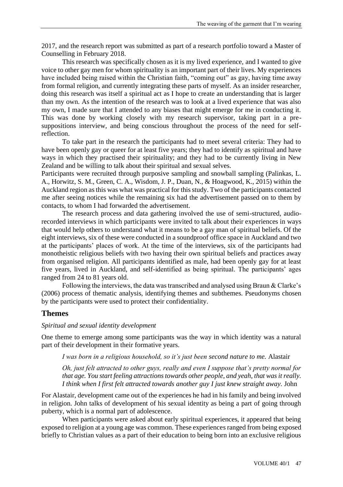2017, and the research report was submitted as part of a research portfolio toward a Master of Counselling in February 2018.

This research was specifically chosen as it is my lived experience, and I wanted to give voice to other gay men for whom spirituality is an important part of their lives. My experiences have included being raised within the Christian faith, "coming out" as gay, having time away from formal religion, and currently integrating these parts of myself. As an insider researcher, doing this research was itself a spiritual act as I hope to create an understanding that is larger than my own. As the intention of the research was to look at a lived experience that was also my own, I made sure that I attended to any biases that might emerge for me in conducting it. This was done by working closely with my research supervisor, taking part in a presuppositions interview, and being conscious throughout the process of the need for selfreflection.

To take part in the research the participants had to meet several criteria: They had to have been openly gay or queer for at least five years; they had to identify as spiritual and have ways in which they practised their spirituality; and they had to be currently living in New Zealand and be willing to talk about their spiritual and sexual selves.

Participants were recruited through purposive sampling and snowball sampling (Palinkas, L. A., Horwitz, S. M., Green, C. A., Wisdom, J. P., Duan, N., & Hoagwood, K., 2015) within the Auckland region as this was what was practical for this study. Two of the participants contacted me after seeing notices while the remaining six had the advertisement passed on to them by contacts, to whom I had forwarded the advertisement.

The research process and data gathering involved the use of semi-structured, audiorecorded interviews in which participants were invited to talk about their experiences in ways that would help others to understand what it means to be a gay man of spiritual beliefs. Of the eight interviews, six of these were conducted in a soundproof office space in Auckland and two at the participants' places of work. At the time of the interviews, six of the participants had monotheistic religious beliefs with two having their own spiritual beliefs and practices away from organised religion. All participants identified as male, had been openly gay for at least five years, lived in Auckland, and self-identified as being spiritual. The participants' ages ranged from 24 to 81 years old.

Following the interviews, the data was transcribed and analysed using Braun & Clarke's (2006) process of thematic analysis, identifying themes and subthemes. Pseudonyms chosen by the participants were used to protect their confidentiality.

#### **Themes**

#### *Spiritual and sexual identity development*

One theme to emerge among some participants was the way in which identity was a natural part of their development in their formative years.

*I was born in a religious household, so it's just been second nature to me.* Alastair

*Oh, just felt attracted to other guys, really and even I suppose that's pretty normal for that age. You start feeling attractions towards other people, and yeah, that was it really. I think when I first felt attracted towards another guy I just knew straight away.* John

For Alastair, development came out of the experiences he had in his family and being involved in religion. John talks of development of his sexual identity as being a part of going through puberty, which is a normal part of adolescence.

When participants were asked about early spiritual experiences, it appeared that being exposed to religion at a young age was common. These experiences ranged from being exposed briefly to Christian values as a part of their education to being born into an exclusive religious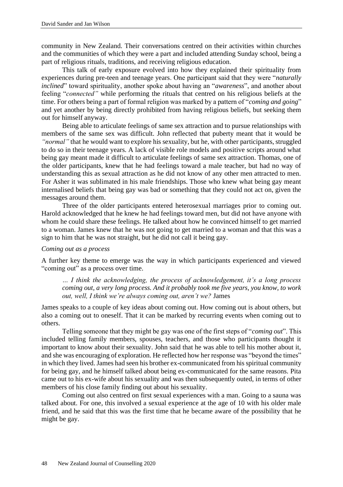community in New Zealand. Their conversations centred on their activities within churches and the communities of which they were a part and included attending Sunday school, being a part of religious rituals, traditions, and receiving religious education.

This talk of early exposure evolved into how they explained their spirituality from experiences during pre-teen and teenage years. One participant said that they were "*naturally inclined*" toward spirituality, another spoke about having an "*awareness*", and another about feeling "*connected"* while performing the rituals that centred on his religious beliefs at the time. For others being a part of formal religion was marked by a pattern of "*coming and going*" and yet another by being directly prohibited from having religious beliefs, but seeking them out for himself anyway.

Being able to articulate feelings of same sex attraction and to pursue relationships with members of the same sex was difficult. John reflected that puberty meant that it would be *"normal"* that he would want to explore his sexuality, but he, with other participants, struggled to do so in their teenage years. A lack of visible role models and positive scripts around what being gay meant made it difficult to articulate feelings of same sex attraction. Thomas, one of the older participants, knew that he had feelings toward a male teacher, but had no way of understanding this as sexual attraction as he did not know of any other men attracted to men. For Asher it was sublimated in his male friendships. Those who knew what being gay meant internalised beliefs that being gay was bad or something that they could not act on, given the messages around them.

Three of the older participants entered heterosexual marriages prior to coming out. Harold acknowledged that he knew he had feelings toward men, but did not have anyone with whom he could share these feelings. He talked about how he convinced himself to get married to a woman. James knew that he was not going to get married to a woman and that this was a sign to him that he was not straight, but he did not call it being gay.

#### *Coming out as a process*

A further key theme to emerge was the way in which participants experienced and viewed "coming out" as a process over time.

*… I think the acknowledging, the process of acknowledgement, it's a long process coming out, a very long process. And it probably took me five years, you know, to work out, well, I think we're always coming out, aren't we?* James

James speaks to a couple of key ideas about coming out. How coming out is about others, but also a coming out to oneself. That it can be marked by recurring events when coming out to others.

Telling someone that they might be gay was one of the first steps of "*coming out*". This included telling family members, spouses, teachers, and those who participants thought it important to know about their sexuality. John said that he was able to tell his mother about it, and she was encouraging of exploration. He reflected how her response was "beyond the times" in which they lived. James had seen his brother ex-communicated from his spiritual community for being gay, and he himself talked about being ex-communicated for the same reasons. Pita came out to his ex-wife about his sexuality and was then subsequently outed, in terms of other members of his close family finding out about his sexuality.

Coming out also centred on first sexual experiences with a man. Going to a sauna was talked about. For one, this involved a sexual experience at the age of 10 with his older male friend, and he said that this was the first time that he became aware of the possibility that he might be gay.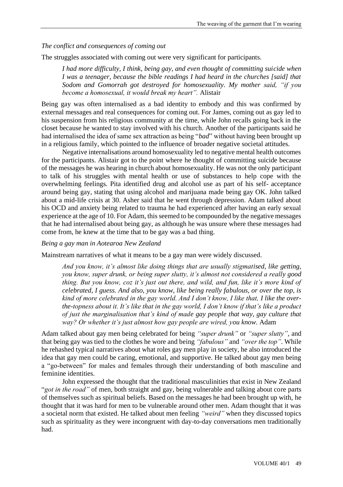#### *The conflict and consequences of coming out*

The struggles associated with coming out were very significant for participants.

*I had more difficulty, I think, being gay, and even thought of committing suicide when I was a teenager, because the bible readings I had heard in the churches [said] that Sodom and Gomorrah got destroyed for homosexuality. My mother said, "if you become a homosexual, it would break my heart".* Alistair

Being gay was often internalised as a bad identity to embody and this was confirmed by external messages and real consequences for coming out. For James, coming out as gay led to his suspension from his religious community at the time, while John recalls going back in the closet because he wanted to stay involved with his church. Another of the participants said he had internalised the idea of same sex attraction as being "*bad*" without having been brought up in a religious family, which pointed to the influence of broader negative societal attitudes.

Negative internalisations around homosexuality led to negative mental health outcomes for the participants. Alistair got to the point where he thought of committing suicide because of the messages he was hearing in church about homosexuality. He was not the only participant to talk of his struggles with mental health or use of substances to help cope with the overwhelming feelings. Pita identified drug and alcohol use as part of his self- acceptance around being gay, stating that using alcohol and marijuana made being gay OK. John talked about a mid-life crisis at 30. Asher said that he went through depression. Adam talked about his OCD and anxiety being related to trauma he had experienced after having an early sexual experience at the age of 10. For Adam, this seemed to be compounded by the negative messages that he had internalised about being gay, as although he was unsure where these messages had come from, he knew at the time that to be gay was a bad thing.

#### *Being a gay man in Aotearoa New Zealand*

Mainstream narratives of what it means to be a gay man were widely discussed.

*And you know, it's almost like doing things that are usually stigmatised, like getting, you know, super drunk, or being super slutty, it's almost not considered a really good thing. But you know, coz it's just out there, and wild, and fun, like it's more kind of celebrated, I guess. And also, you know, like being really fabulous, or over the top, is kind of more celebrated in the gay world. And I don't know, I like that, I like the overthe-topness about it. It's like that in the gay world, I don't know if that's like a product of just the marginalisation that's kind of made gay people that way, gay culture that way? Or whether it's just almost how gay people are wired, you know.* Adam

Adam talked about gay men being celebrated for being *"super drunk"* or *"super slutty"*, and that being gay was tied to the clothes he wore and being *"fabulous"* and *"over the top"*. While he rehashed typical narratives about what roles gay men play in society, he also introduced the idea that gay men could be caring, emotional, and supportive. He talked about gay men being a "go-between" for males and females through their understanding of both masculine and feminine identities.

John expressed the thought that the traditional masculinities that exist in New Zealand "*got in the road"* of men, both straight and gay, being vulnerable and talking about core parts of themselves such as spiritual beliefs. Based on the messages he had been brought up with, he thought that it was hard for men to be vulnerable around other men. Adam thought that it was a societal norm that existed. He talked about men feeling *"weird"* when they discussed topics such as spirituality as they were incongruent with day-to-day conversations men traditionally had.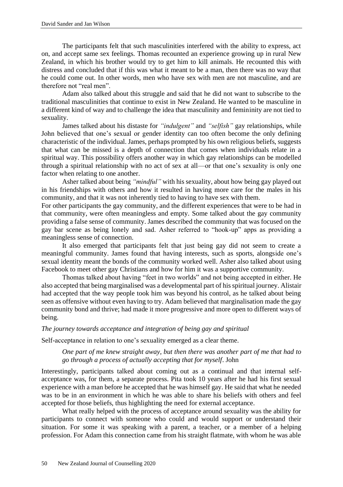The participants felt that such masculinities interfered with the ability to express, act on, and accept same sex feelings. Thomas recounted an experience growing up in rural New Zealand, in which his brother would try to get him to kill animals. He recounted this with distress and concluded that if this was what it meant to be a man, then there was no way that he could come out. In other words, men who have sex with men are not masculine, and are therefore not "real men".

Adam also talked about this struggle and said that he did not want to subscribe to the traditional masculinities that continue to exist in New Zealand. He wanted to be masculine in a different kind of way and to challenge the idea that masculinity and femininity are not tied to sexuality.

James talked about his distaste for *"indulgent"* and *"selfish"* gay relationships, while John believed that one's sexual or gender identity can too often become the only defining characteristic of the individual. James, perhaps prompted by his own religious beliefs, suggests that what can be missed is a depth of connection that comes when individuals relate in a spiritual way. This possibility offers another way in which gay relationships can be modelled through a spiritual relationship with no act of sex at all—or that one's sexuality is only one factor when relating to one another.

Asher talked about being *"mindful"* with his sexuality, about how being gay played out in his friendships with others and how it resulted in having more care for the males in his community, and that it was not inherently tied to having to have sex with them.

For other participants the gay community, and the different experiences that were to be had in that community, were often meaningless and empty. Some talked about the gay community providing a false sense of community. James described the community that was focused on the gay bar scene as being lonely and sad. Asher referred to "hook-up" apps as providing a meaningless sense of connection.

It also emerged that participants felt that just being gay did not seem to create a meaningful community. James found that having interests, such as sports, alongside one's sexual identity meant the bonds of the community worked well. Asher also talked about using Facebook to meet other gay Christians and how for him it was a supportive community.

Thomas talked about having "feet in two worlds" and not being accepted in either. He also accepted that being marginalised was a developmental part of his spiritual journey. Alistair had accepted that the way people took him was beyond his control, as he talked about being seen as offensive without even having to try. Adam believed that marginalisation made the gay community bond and thrive; had made it more progressive and more open to different ways of being.

## *The journey towards acceptance and integration of being gay and spiritual*

Self-acceptance in relation to one's sexuality emerged as a clear theme.

*One part of me knew straight away, but then there was another part of me that had to go through a process of actually accepting that for myself*. John

Interestingly, participants talked about coming out as a continual and that internal selfacceptance was, for them, a separate process. Pita took 10 years after he had his first sexual experience with a man before he accepted that he was himself gay. He said that what he needed was to be in an environment in which he was able to share his beliefs with others and feel accepted for those beliefs, thus highlighting the need for external acceptance.

What really helped with the process of acceptance around sexuality was the ability for participants to connect with someone who could and would support or understand their situation. For some it was speaking with a parent, a teacher, or a member of a helping profession. For Adam this connection came from his straight flatmate, with whom he was able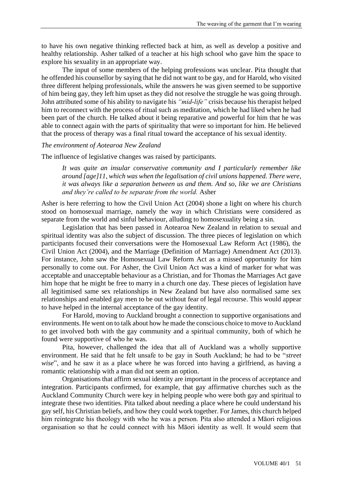to have his own negative thinking reflected back at him, as well as develop a positive and healthy relationship. Asher talked of a teacher at his high school who gave him the space to explore his sexuality in an appropriate way.

The input of some members of the helping professions was unclear. Pita thought that he offended his counsellor by saying that he did not want to be gay, and for Harold, who visited three different helping professionals, while the answers he was given seemed to be supportive of him being gay, they left him upset as they did not resolve the struggle he was going through. John attributed some of his ability to navigate his *"mid-life"* crisis because his therapist helped him to reconnect with the process of ritual such as meditation, which he had liked when he had been part of the church. He talked about it being reparative and powerful for him that he was able to connect again with the parts of spirituality that were so important for him. He believed that the process of therapy was a final ritual toward the acceptance of his sexual identity.

#### *The environment of Aotearoa New Zealand*

The influence of legislative changes was raised by participants.

*It was quite an insular conservative community and I particularly remember like around [age]11, which was when the legalisation of civil unions happened. There were, it was always like a separation between us and them. And so, like we are Christians and they're called to be separate from the world.* Asher

Asher is here referring to how the Civil Union Act (2004) shone a light on where his church stood on homosexual marriage, namely the way in which Christians were considered as separate from the world and sinful behaviour, alluding to homosexuality being a sin.

Legislation that has been passed in Aotearoa New Zealand in relation to sexual and spiritual identity was also the subject of discussion. The three pieces of legislation on which participants focused their conversations were the Homosexual Law Reform Act (1986), the Civil Union Act (2004), and the Marriage (Definition of Marriage) Amendment Act (2013). For instance, John saw the Homosexual Law Reform Act as a missed opportunity for him personally to come out. For Asher, the Civil Union Act was a kind of marker for what was acceptable and unacceptable behaviour as a Christian, and for Thomas the Marriages Act gave him hope that he might be free to marry in a church one day. These pieces of legislation have all legitimised same sex relationships in New Zealand but have also normalised same sex relationships and enabled gay men to be out without fear of legal recourse. This would appear to have helped in the internal acceptance of the gay identity.

For Harold, moving to Auckland brought a connection to supportive organisations and environments. He went on to talk about how he made the conscious choice to move to Auckland to get involved both with the gay community and a spiritual community, both of which he found were supportive of who he was.

Pita, however, challenged the idea that all of Auckland was a wholly supportive environment. He said that he felt unsafe to be gay in South Auckland; he had to be "*street wise*", and he saw it as a place where he was forced into having a girlfriend, as having a romantic relationship with a man did not seem an option.

Organisations that affirm sexual identity are important in the process of acceptance and integration. Participants confirmed, for example, that gay affirmative churches such as the Auckland Community Church were key in helping people who were both gay and spiritual to integrate these two identities. Pita talked about needing a place where he could understand his gay self, his Christian beliefs, and how they could work together. For James, this church helped him reintegrate his theology with who he was a person. Pita also attended a Māori religious organisation so that he could connect with his Māori identity as well. It would seem that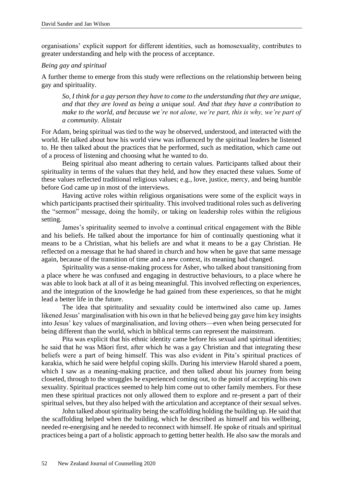organisations' explicit support for different identities, such as homosexuality, contributes to greater understanding and help with the process of acceptance.

#### *Being gay and spiritual*

A further theme to emerge from this study were reflections on the relationship between being gay and spirituality.

*So, I think for a gay person they have to come to the understanding that they are unique, and that they are loved as being a unique soul. And that they have a contribution to make to the world, and because we're not alone, we're part, this is why, we're part of a community.* Alistair

For Adam, being spiritual was tied to the way he observed, understood, and interacted with the world. He talked about how his world view was influenced by the spiritual leaders he listened to. He then talked about the practices that he performed, such as meditation, which came out of a process of listening and choosing what he wanted to do.

Being spiritual also meant adhering to certain values. Participants talked about their spirituality in terms of the values that they held, and how they enacted these values. Some of these values reflected traditional religious values; e.g., love, justice, mercy, and being humble before God came up in most of the interviews.

Having active roles within religious organisations were some of the explicit ways in which participants practised their spirituality. This involved traditional roles such as delivering the "sermon" message, doing the homily, or taking on leadership roles within the religious setting.

James's spirituality seemed to involve a continual critical engagement with the Bible and his beliefs. He talked about the importance for him of continually questioning what it means to be a Christian, what his beliefs are and what it means to be a gay Christian. He reflected on a message that he had shared in church and how when he gave that same message again, because of the transition of time and a new context, its meaning had changed.

Spirituality was a sense-making process for Asher, who talked about transitioning from a place where he was confused and engaging in destructive behaviours, to a place where he was able to look back at all of it as being meaningful. This involved reflecting on experiences, and the integration of the knowledge he had gained from these experiences, so that he might lead a better life in the future.

The idea that spirituality and sexuality could be intertwined also came up. James likened Jesus' marginalisation with his own in that he believed being gay gave him key insights into Jesus' key values of marginalisation, and loving others—even when being persecuted for being different than the world, which in biblical terms can represent the mainstream.

Pita was explicit that his ethnic identity came before his sexual and spiritual identities; he said that he was Māori first, after which he was a gay Christian and that integrating these beliefs were a part of being himself. This was also evident in Pita's spiritual practices of karakia, which he said were helpful coping skills. During his interview Harold shared a poem, which I saw as a meaning-making practice, and then talked about his journey from being closeted, through to the struggles he experienced coming out, to the point of accepting his own sexuality. Spiritual practices seemed to help him come out to other family members. For these men these spiritual practices not only allowed them to explore and re-present a part of their spiritual selves, but they also helped with the articulation and acceptance of their sexual selves.

John talked about spirituality being the scaffolding holding the building up. He said that the scaffolding helped when the building, which he described as himself and his wellbeing, needed re-energising and he needed to reconnect with himself. He spoke of rituals and spiritual practices being a part of a holistic approach to getting better health. He also saw the morals and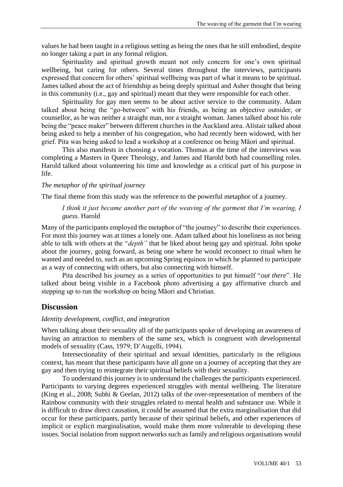values he had been taught in a religious setting as being the ones that he still embodied, despite no longer taking a part in any formal religion.

Spirituality and spiritual growth meant not only concern for one's own spiritual wellbeing, but caring for others. Several times throughout the interviews, participants expressed that concern for others' spiritual wellbeing was part of what it means to be spiritual. James talked about the act of friendship as being deeply spiritual and Asher thought that being in this community (i.e., gay and spiritual) meant that they were responsible for each other.

Spirituality for gay men seems to be about active service to the community. Adam talked about being the "go-between" with his friends, as being an objective outsider, or counsellor, as he was neither a straight man, nor a straight woman. James talked about his role being the "peace maker" between different churches in the Auckland area. Alistair talked about being asked to help a member of his congregation, who had recently been widowed, with her grief. Pita was being asked to lead a workshop at a conference on being Māori and spiritual.

This also manifests in choosing a vocation. Thomas at the time of the interviews was completing a Masters in Queer Theology, and James and Harold both had counselling roles. Harold talked about volunteering his time and knowledge as a critical part of his purpose in life.

#### *The metaphor of the spiritual journey*

The final theme from this study was the reference to the powerful metaphor of a journey.

## *I think it just became another part of the weaving of the garment that I'm wearing, I guess.* Harold

Many of the participants employed the metaphor of "the journey" to describe their experiences. For most this journey was at times a lonely one. Adam talked about his loneliness as not being able to talk with others at the "*depth"* that he liked about being gay and spiritual. John spoke about the journey, going forward, as being one where he would reconnect to ritual when he wanted and needed to, such as an upcoming Spring equinox in which he planned to participate as a way of connecting with others, but also connecting with himself.

Pita described his journey as a series of opportunities to put himself "*out there*". He talked about being visible in a Facebook photo advertising a gay affirmative church and stepping up to run the workshop on being Māori and Christian.

#### **Discussion**

#### *Identity development, conflict, and integration*

When talking about their sexuality all of the participants spoke of developing an awareness of having an attraction to members of the same sex, which is congruent with developmental models of sexuality (Cass, 1979; D'Augelli, 1994).

Intersectionality of their spiritual and sexual identities, particularly in the religious context, has meant that these participants have all gone on a journey of accepting that they are gay and then trying to reintegrate their spiritual beliefs with their sexuality.

To understand this journey is to understand the challenges the participants experienced. Participants to varying degrees experienced struggles with mental wellbeing. The literature (King et al., 2008; Subhi & Geelan, 2012) talks of the over-representation of members of the Rainbow community with their struggles related to mental health and substance use. While it is difficult to draw direct causation, it could be assumed that the extra marginalisation that did occur for these participants, partly because of their spiritual beliefs, and other experiences of implicit or explicit marginalisation, would make them more vulnerable to developing these issues. Social isolation from support networks such as family and religious organisations would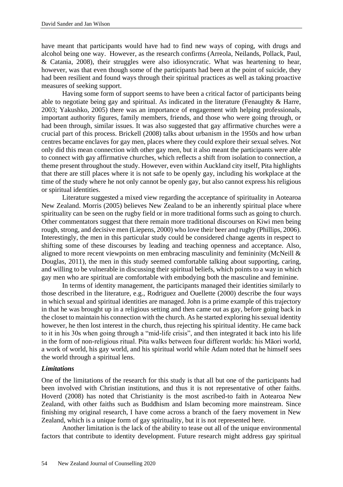have meant that participants would have had to find new ways of coping, with drugs and alcohol being one way. However, as the research confirms (Arreola, Neilands, Pollack, Paul, & Catania, 2008), their struggles were also idiosyncratic. What was heartening to hear, however, was that even though some of the participants had been at the point of suicide, they had been resilient and found ways through their spiritual practices as well as taking proactive measures of seeking support.

Having some form of support seems to have been a critical factor of participants being able to negotiate being gay and spiritual. As indicated in the literature (Fenaughty & Harre, 2003; Yakushko, 2005) there was an importance of engagement with helping professionals, important authority figures, family members, friends, and those who were going through, or had been through, similar issues. It was also suggested that gay affirmative churches were a crucial part of this process. Brickell (2008) talks about urbanism in the 1950s and how urban centres became enclaves for gay men, places where they could explore their sexual selves. Not only did this mean connection with other gay men, but it also meant the participants were able to connect with gay affirmative churches, which reflects a shift from isolation to connection, a theme present throughout the study. However, even within Auckland city itself, Pita highlights that there are still places where it is not safe to be openly gay, including his workplace at the time of the study where he not only cannot be openly gay, but also cannot express his religious or spiritual identities.

Literature suggested a mixed view regarding the acceptance of spirituality in Aotearoa New Zealand. Morris (2005) believes New Zealand to be an inherently spiritual place where spirituality can be seen on the rugby field or in more traditional forms such as going to church. Other commentators suggest that there remain more traditional discourses on Kiwi men being rough, strong, and decisive men (Liepens, 2000) who love their beer and rugby (Phillips, 2006). Interestingly, the men in this particular study could be considered change agents in respect to shifting some of these discourses by leading and teaching openness and acceptance. Also, aligned to more recent viewpoints on men embracing masculinity and femininity (McNeill & Douglas, 2011), the men in this study seemed comfortable talking about supporting, caring, and willing to be vulnerable in discussing their spiritual beliefs, which points to a way in which gay men who are spiritual are comfortable with embodying both the masculine and feminine.

In terms of identity management, the participants managed their identities similarly to those described in the literature, e.g., Rodriguez and Ouellette (2000) describe the four ways in which sexual and spiritual identities are managed. John is a prime example of this trajectory in that he was brought up in a religious setting and then came out as gay, before going back in the closet to maintain his connection with the church. As he started exploring his sexual identity however, he then lost interest in the church, thus rejecting his spiritual identity. He came back to it in his 30s when going through a "mid-life crisis", and then integrated it back into his life in the form of non-religious ritual. Pita walks between four different worlds: his Māori world, a work of world, his gay world, and his spiritual world while Adam noted that he himself sees the world through a spiritual lens.

## *Limitations*

One of the limitations of the research for this study is that all but one of the participants had been involved with Christian institutions, and thus it is not representative of other faiths. Hoverd (2008) has noted that Christianity is the most ascribed-to faith in Aotearoa New Zealand, with other faiths such as Buddhism and Islam becoming more mainstream. Since finishing my original research, I have come across a branch of the faery movement in New Zealand, which is a unique form of gay spirituality, but it is not represented here.

Another limitation is the lack of the ability to tease out all of the unique environmental factors that contribute to identity development. Future research might address gay spiritual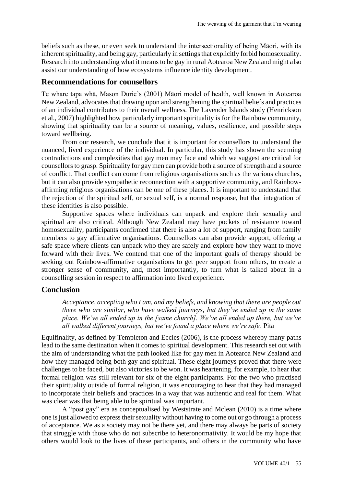beliefs such as these, or even seek to understand the intersectionality of being Māori, with its inherent spirituality, and being gay, particularly in settings that explicitly forbid homosexuality. Research into understanding what it means to be gay in rural Aotearoa New Zealand might also assist our understanding of how ecosystems influence identity development.

## **Recommendations for counsellors**

Te whare tapa whā, Mason Durie's (2001) Māori model of health, well known in Aotearoa New Zealand, advocates that drawing upon and strengthening the spiritual beliefs and practices of an individual contributes to their overall wellness. The Lavender Islands study (Henrickson et al., 2007) highlighted how particularly important spirituality is for the Rainbow community, showing that spirituality can be a source of meaning, values, resilience, and possible steps toward wellbeing.

From our research, we conclude that it is important for counsellors to understand the nuanced, lived experience of the individual. In particular, this study has shown the seeming contradictions and complexities that gay men may face and which we suggest are critical for counsellors to grasp. Spirituality for gay men can provide both a source of strength and a source of conflict. That conflict can come from religious organisations such as the various churches, but it can also provide sympathetic reconnection with a supportive community, and Rainbowaffirming religious organisations can be one of these places. It is important to understand that the rejection of the spiritual self, or sexual self, is a normal response, but that integration of these identities is also possible.

Supportive spaces where individuals can unpack and explore their sexuality and spiritual are also critical. Although New Zealand may have pockets of resistance toward homosexuality, participants confirmed that there is also a lot of support, ranging from family members to gay affirmative organisations. Counsellors can also provide support, offering a safe space where clients can unpack who they are safely and explore how they want to move forward with their lives. We contend that one of the important goals of therapy should be seeking out Rainbow-affirmative organisations to get peer support from others, to create a stronger sense of community, and, most importantly, to turn what is talked about in a counselling session in respect to affirmation into lived experience.

## **Conclusion**

*Acceptance, accepting who I am, and my beliefs, and knowing that there are people out there who are similar, who have walked journeys, but they've ended up in the same place. We've all ended up in the [same church]. We've all ended up there, but we've all walked different journeys, but we've found a place where we're safe.* Pita

Equifinality, as defined by Templeton and Eccles (2006), is the process whereby many paths lead to the same destination when it comes to spiritual development. This research set out with the aim of understanding what the path looked like for gay men in Aotearoa New Zealand and how they managed being both gay and spiritual. These eight journeys proved that there were challenges to be faced, but also victories to be won. It was heartening, for example, to hear that formal religion was still relevant for six of the eight participants. For the two who practised their spirituality outside of formal religion, it was encouraging to hear that they had managed to incorporate their beliefs and practices in a way that was authentic and real for them. What was clear was that being able to be spiritual was important.

A "post gay" era as conceptualised by Weststrate and Mclean (2010) is a time where one is just allowed to express their sexuality without having to come out or go through a process of acceptance. We as a society may not be there yet, and there may always be parts of society that struggle with those who do not subscribe to heteronormativity. It would be my hope that others would look to the lives of these participants, and others in the community who have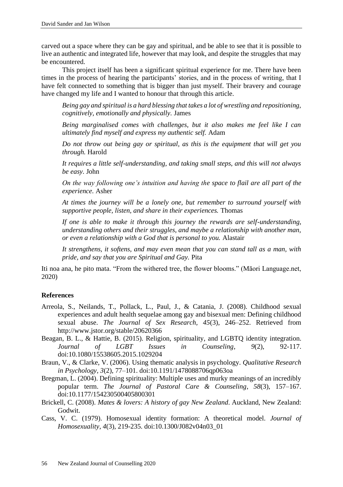carved out a space where they can be gay and spiritual, and be able to see that it is possible to live an authentic and integrated life, however that may look, and despite the struggles that may be encountered.

This project itself has been a significant spiritual experience for me. There have been times in the process of hearing the participants' stories, and in the process of writing, that I have felt connected to something that is bigger than just myself. Their bravery and courage have changed my life and I wanted to honour that through this article.

*Being gay and spiritual is a hard blessing that takes a lot of wrestling and repositioning, cognitively, emotionally and physically.* James

*Being marginalised comes with challenges, but it also makes me feel like I can ultimately find myself and express my authentic self.* Adam

*Do not throw out being gay or spiritual, as this is the equipment that will get you through.* Harold

*It requires a little self-understanding, and taking small steps, and this will not always be easy.* John

*On the way following one's intuition and having the space to flail are all part of the experience.* Asher

*At times the journey will be a lonely one, but remember to surround yourself with supportive people, listen, and share in their experiences.* Thomas

*If one is able to make it through this journey the rewards are self-understanding, understanding others and their struggles, and maybe a relationship with another man, or even a relationship with a God that is personal to you.* Alastair

*It strengthens, it softens, and may even mean that you can stand tall as a man, with pride, and say that you are Spiritual and Gay.* Pita

Iti noa ana, he pito mata*.* "From the withered tree, the flower blooms." (Māori Language.net, 2020)

#### **References**

- Arreola, S., Neilands, T., Pollack, L., Paul, J., & Catania, J. (2008). Childhood sexual experiences and adult health sequelae among gay and bisexual men: Defining childhood sexual abuse. *The Journal of Sex Research, 45*(3), 246–252. Retrieved from http://www.jstor.org/stable/20620366
- Beagan, B. L., & Hattie, B. (2015). Religion, spirituality, and LGBTQ identity integration. *Journal of LGBT Issues in Counseling*, *9*(2), 92-117. doi:10.1080/15538605.2015.1029204
- Braun, V., & Clarke, V. (2006). Using thematic analysis in psychology. *Qualitative Research in Psychology, 3*(2), 77–101. doi:10.1191/1478088706qp063oa
- Bregman, L. (2004). Defining spirituality: Multiple uses and murky meanings of an incredibly popular term. *The Journal of Pastoral Care & Counseling*, *58*(3), 157–167. doi:10.1177/154230500405800301
- Brickell, C. (2008). *Mates & lovers: A history of gay New Zealand*. Auckland, New Zealand: Godwit.
- Cass, V. C. (1979). Homosexual identity formation: A theoretical model. *Journal of Homosexuality*, *4*(3), 219-235. doi:10.1300/J082v04n03\_01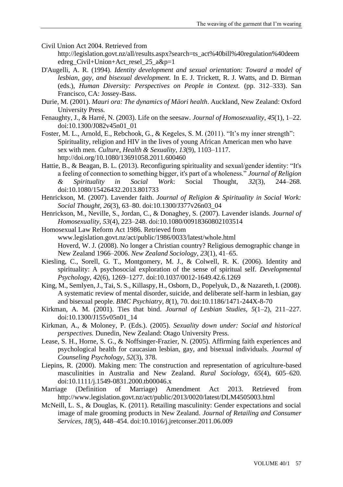Civil Union Act 2004. Retrieved from http://legislation.govt.nz/all/results.aspx?search=ts\_act%40bill%40regulation%40deem edreg\_Civil+Union+Act\_resel\_25\_a&p=1

- D'Augelli, A. R. (1994). *Identity development and sexual orientation: Toward a model of lesbian, gay, and bisexual development.* In E. J. Trickett, R. J. Watts, and D. Birman (eds.), *Human Diversity: Perspectives on People in Context.* (pp. 312–333). San Francisco, CA: Jossey-Bass.
- Durie, M. (2001). *Mauri ora: The dynamics of Māori health*. Auckland, New Zealand: Oxford University Press.
- Fenaughty, J., & Harré, N. (2003). Life on the seesaw. *Journal of Homosexuality*, *45*(1), 1–22. doi:10.1300/J082v45n01\_01
- Foster, M. L., Arnold, E., Rebchook, G., & Kegeles, S. M. (2011). "It's my inner strength": Spirituality, religion and HIV in the lives of young African American men who have sex with men. *Culture, Health & Sexuality*, *13*(9), 1103–1117. http://doi.org/10.1080/13691058.2011.600460
- Hattie, B., & Beagan, B. L. (2013). Reconfiguring spirituality and sexual/gender identity: "It's a feeling of connection to something bigger, it's part of a wholeness." *Journal of Religion & Spirituality in Social Work*: Social Thought, *32*(3), 244–268. doi:10.1080/15426432.2013.801733
- Henrickson, M. (2007). Lavender faith. *Journal of Religion & Spirituality in Social Work: Social Thought*, *26*(3), 63–80. doi:10.1300/J377v26n03\_04
- Henrickson, M., Neville, S., Jordan, C., & Donaghey, S. (2007). Lavender islands. *Journal of Homosexuality, 53*(4), 223–248. doi:10.1080/00918360802103514
- Homosexual Law Reform Act 1986. Retrieved from www.legislation.govt.nz/act/public/1986/0033/latest/whole.html Hoverd, W. J. (2008). No longer a Christian country? Religious demographic change in New Zealand 1966–2006. *New Zealand Sociology, 23*(1), 41–65.
- Kiesling, C., Sorell, G. T., Montgomery, M. J., & Colwell, R. K. (2006). Identity and spirituality: A psychosocial exploration of the sense of spiritual self. *Developmental Psychology, 42*(6), 1269–1277. doi:10.1037/0012-1649.42.6.1269
- King, M., Semlyen, J., Tai, S. S., Killaspy, H., Osborn, D., Popelyuk, D., & Nazareth, I. (2008). A systematic review of mental disorder, suicide, and deliberate self-harm in lesbian, gay and bisexual people. *BMC Psychiatry*, *8*(1), 70. doi:10.1186/1471-244X-8-70
- Kirkman, A. M. (2001). Ties that bind. *Journal of Lesbian Studies*, *5*(1–2), 211–227. doi:10.1300/J155v05n01\_14
- Kirkman, A., & Moloney, P. (Eds.). (2005). *Sexuality down under: Social and historical perspectives.* Dunedin, New Zealand: Otago University Press.
- Lease, S. H., Horne, S. G., & Noffsinger-Frazier, N. (2005). Affirming faith experiences and psychological health for caucasian lesbian, gay, and bisexual individuals. *Journal of Counseling Psychology*, *52*(3), 378.
- Liepins, R. (2000). Making men: The construction and representation of agriculture-based masculinities in Australia and New Zealand. *Rural Sociology*, *65*(4), 605–620. doi:10.1111/j.1549-0831.2000.tb00046.x
- Marriage (Definition of Marriage) Amendment Act 2013. Retrieved from http://www.legislation.govt.nz/act/public/2013/0020/latest/DLM4505003.html
- McNeill, L. S., & Douglas, K. (2011). Retailing masculinity: Gender expectations and social image of male grooming products in New Zealand. *Journal of Retailing and Consumer Services*, *18*(5), 448–454. doi:10.1016/j.jretconser.2011.06.009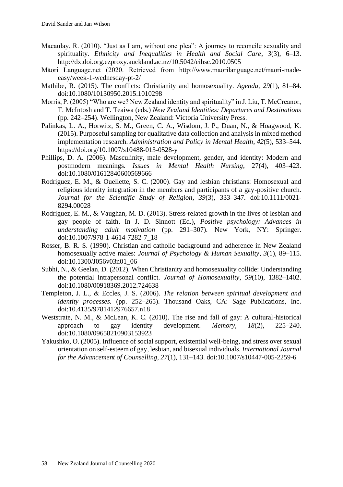- Macaulay, R. (2010). "Just as I am, without one plea": A journey to reconcile sexuality and spirituality. *Ethnicity and Inequalities in Health and Social Care*, *3*(3), 6–13. http://dx.doi.org.ezproxy.auckland.ac.nz/10.5042/eihsc.2010.0505
- Māori Language.net (2020. Retrieved from http://www.maorilanguage.net/maori-madeeasy/week-1-wednesday-pt-2/
- Mathibe, R. (2015). The conflicts: Christianity and homosexuality. *Agenda*, *29*(1), 81–84. doi:10.1080/10130950.2015.1010298
- Morris, P. (2005) "Who are we? New Zealand identity and spirituality" in J. Liu, T. McCreanor, T. McIntosh and T. Teaiwa (eds.) *New Zealand Identities: Departures and Destinations*  (pp. 242–254). Wellington, New Zealand: Victoria University Press.
- Palinkas, L. A., Horwitz, S. M., Green, C. A., Wisdom, J. P., Duan, N., & Hoagwood, K. (2015). Purposeful sampling for qualitative data collection and analysis in mixed method implementation research. *Administration and Policy in Mental Health*, *42*(5), 533–544. https://doi.org/10.1007/s10488-013-0528-y
- Phillips, D. A. (2006). Masculinity, male development, gender, and identity: Modern and postmodern meanings. *Issues in Mental Health Nursing*, 27(4), 403–423. doi:10.1080/01612840600569666
- Rodriguez, E. M., & Ouellette, S. C. (2000). Gay and lesbian christians: Homosexual and religious identity integration in the members and participants of a gay-positive church. *Journal for the Scientific Study of Religion*, *39*(3), 333–347. doi:10.1111/0021- 8294.00028
- Rodriguez, E. M., & Vaughan, M. D. (2013). Stress-related growth in the lives of lesbian and gay people of faith. In J. D. Sinnott (Ed.), *Positive psychology: Advances in understanding adult motivation* (pp. 291–307). New York, NY: Springer. doi:10.1007/978-1-4614-7282-7\_18
- Rosser, B. R. S. (1990). Christian and catholic background and adherence in New Zealand homosexually active males: *Journal of Psychology & Human Sexuality*, *3*(1), 89–115. doi:10.1300/J056v03n01\_06
- Subhi, N., & Geelan, D. (2012). When Christianity and homosexuality collide: Understanding the potential intrapersonal conflict. *Journal of Homosexuality*, *59*(10), 1382–1402. doi:10.1080/00918369.2012.724638
- Templeton, J. L., & Eccles, J. S. (2006). *The relation between spiritual development and identity processes.* (pp. 252–265). Thousand Oaks, CA: Sage Publications, Inc. doi:10.4135/9781412976657.n18
- Weststrate, N. M., & McLean, K. C. (2010). The rise and fall of gay: A cultural-historical approach to gay identity development. *Memory*, *18*(2), 225–240. doi:10.1080/09658210903153923
- Yakushko, O. (2005). Influence of social support, existential well-being, and stress over sexual orientation on self-esteem of gay, lesbian, and bisexual individuals. *International Journal for the Advancement of Counselling, 27*(1), 131–143. doi:10.1007/s10447-005-2259-6